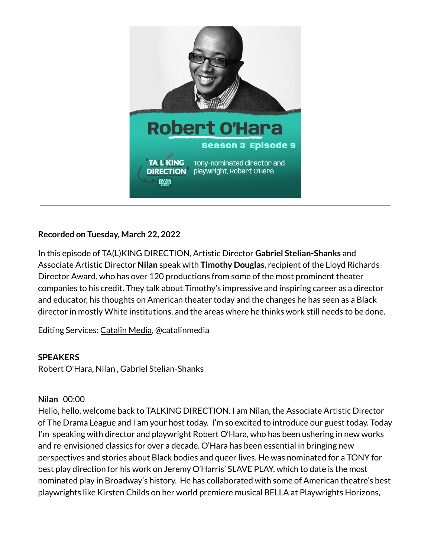

# **Recorded on Tuesday, March 22, 2022**

In this episode of TA(L)KING DIRECTION, Artistic Director **Gabriel Stelian-Shanks** and Associate Artistic Director **Nilan** speak with **Timothy Douglas**, recipient of the Lloyd Richards Director Award, who has over 120 productions from some of the most prominent theater companies to his credit. They talk about Timothy's impressive and inspiring career as a director and educator, his thoughts on American theater today and the changes he has seen as a Black director in mostly White institutions, and the areas where he thinks work still needs to be done.

Editing Services: [Catalin](https://catalinmedia.com/) Media, @catalinmedia

#### **SPEAKERS**

Robert O'Hara, Nilan , Gabriel Stelian-Shanks

### **Nilan** 00:00

Hello, hello, welcome back to TALKING DIRECTION. I am Nilan, the Associate Artistic Director of The Drama League and I am your host today. I'm so excited to introduce our guest today. Today I'm speaking with director and playwright Robert O'Hara, who has been ushering in new works and re-envisioned classics for over a decade. O'Hara has been essential in bringing new perspectives and stories about Black bodies and queer lives. He was nominated for a TONY for best play direction for his work on Jeremy O'Harris' SLAVE PLAY, which to date is the most nominated play in Broadway's history. He has collaborated with some of American theatre's best playwrights like Kirsten Childs on her world premiere musical BELLA at Playwrights Horizons,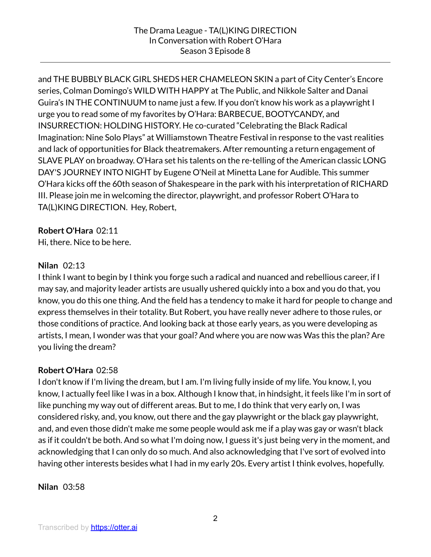and THE BUBBLY BLACK GIRL SHEDS HER CHAMELEON SKIN a part of City Center's Encore series, Colman Domingo's WILD WITH HAPPY at The Public, and Nikkole Salter and Danai Guira's IN THE CONTINUUM to name just a few. If you don't know his work as a playwright I urge you to read some of my favorites by O'Hara: BARBECUE, BOOTYCANDY, and INSURRECTION: HOLDING HISTORY. He co-curated "Celebrating the Black Radical Imagination: Nine Solo Plays" at Williamstown Theatre Festival in response to the vast realities and lack of opportunities for Black theatremakers. After remounting a return engagement of SLAVE PLAY on broadway. O'Hara set his talents on the re-telling of the American classic LONG DAY'S JOURNEY INTO NIGHT by Eugene O'Neil at Minetta Lane for Audible. This summer O'Hara kicks off the 60th season of Shakespeare in the park with his interpretation of RICHARD III. Please join me in welcoming the director, playwright, and professor Robert O'Hara to TA(L)KING DIRECTION. Hey, Robert,

#### **Robert O'Hara** 02:11

Hi, there. Nice to be here.

#### **Nilan** 02:13

I think I want to begin by I think you forge such a radical and nuanced and rebellious career, if I may say, and majority leader artists are usually ushered quickly into a box and you do that, you know, you do this one thing. And the field has a tendency to make it hard for people to change and express themselves in their totality. But Robert, you have really never adhere to those rules, or those conditions of practice. And looking back at those early years, as you were developing as artists, I mean, I wonder was that your goal? And where you are now was Was this the plan? Are you living the dream?

### **Robert O'Hara** 02:58

I don't know if I'm living the dream, but I am. I'm living fully inside of my life. You know, I, you know, I actually feel like I was in a box. Although I know that, in hindsight, it feels like I'm in sort of like punching my way out of different areas. But to me, I do think that very early on, I was considered risky, and, you know, out there and the gay playwright or the black gay playwright, and, and even those didn't make me some people would ask me if a play was gay or wasn't black as if it couldn't be both. And so what I'm doing now, I guess it's just being very in the moment, and acknowledging that I can only do so much. And also acknowledging that I've sort of evolved into having other interests besides what I had in my early 20s. Every artist I think evolves, hopefully.

**Nilan** 03:58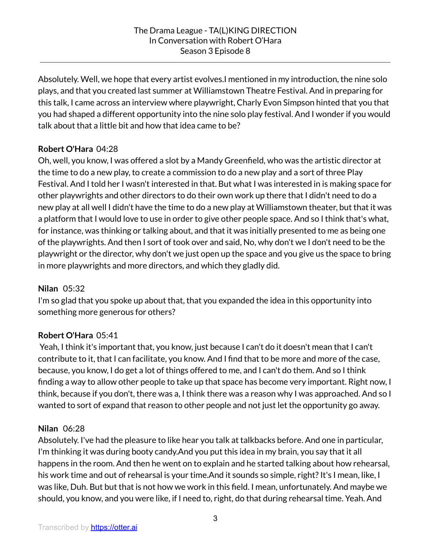Absolutely. Well, we hope that every artist evolves.I mentioned in my introduction, the nine solo plays, and that you created last summer at Williamstown Theatre Festival. And in preparing for this talk, I came across an interview where playwright, Charly Evon Simpson hinted that you that you had shaped a different opportunity into the nine solo play festival. And I wonder if you would talk about that a little bit and how that idea came to be?

# **Robert O'Hara** 04:28

Oh, well, you know, I was offered a slot by a Mandy Greenfield, who was the artistic director at the time to do a new play, to create a commission to do a new play and a sort of three Play Festival. And I told her I wasn't interested in that. But what I was interested in is making space for other playwrights and other directors to do their own work up there that I didn't need to do a new play at all well I didn't have the time to do a new play at Williamstown theater, but that it was a platform that I would love to use in order to give other people space. And so I think that's what, for instance, was thinking or talking about, and that it was initially presented to me as being one of the playwrights. And then I sort of took over and said, No, why don't we I don't need to be the playwright or the director, why don't we just open up the space and you give us the space to bring in more playwrights and more directors, and which they gladly did.

### **Nilan** 05:32

I'm so glad that you spoke up about that, that you expanded the idea in this opportunity into something more generous for others?

# **Robert O'Hara** 05:41

Yeah, I think it's important that, you know, just because I can't do it doesn't mean that I can't contribute to it, that I can facilitate, you know. And I find that to be more and more of the case, because, you know, I do get a lot of things offered to me, and I can't do them. And so I think finding a way to allow other people to take up that space has become very important. Right now, I think, because if you don't, there was a, I think there was a reason why I was approached. And so I wanted to sort of expand that reason to other people and not just let the opportunity go away.

### **Nilan** 06:28

Absolutely. I've had the pleasure to like hear you talk at talkbacks before. And one in particular, I'm thinking it was during booty candy.And you put this idea in my brain, you say that it all happens in the room. And then he went on to explain and he started talking about how rehearsal, his work time and out of rehearsal is your time. And it sounds so simple, right? It's I mean, like, I was like, Duh. But but that is not how we work in this field. I mean, unfortunately. And maybe we should, you know, and you were like, if I need to, right, do that during rehearsal time. Yeah. And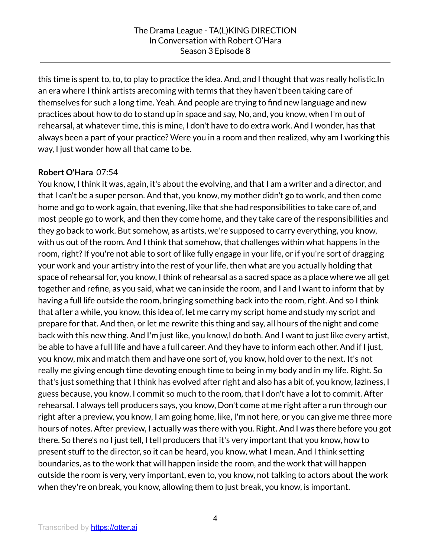this time is spent to, to, to play to practice the idea. And, and I thought that was really holistic.In an era where I think artists arecoming with terms that they haven't been taking care of themselves for such a long time. Yeah. And people are trying to find new language and new practices about how to do to stand up in space and say, No, and, you know, when I'm out of rehearsal, at whatever time, this is mine, I don't have to do extra work. And I wonder, has that always been a part of your practice? Were you in a room and then realized, why am I working this way, I just wonder how all that came to be.

# **Robert O'Hara** 07:54

You know, I think it was, again, it's about the evolving, and that I am a writer and a director, and that I can't be a super person. And that, you know, my mother didn't go to work, and then come home and go to work again, that evening, like that she had responsibilities to take care of, and most people go to work, and then they come home, and they take care of the responsibilities and they go back to work. But somehow, as artists, we're supposed to carry everything, you know, with us out of the room. And I think that somehow, that challenges within what happens in the room, right?If you're not able to sort of like fully engage in your life, or if you're sort of dragging your work and your artistry into the rest of your life, then what are you actually holding that space of rehearsal for, you know, I think of rehearsal as a sacred space as a place where we all get together and refine, as you said, what we can inside the room, and I and I want to inform that by having a full life outside the room, bringing something back into the room, right. And so I think that after a while, you know, this idea of, let me carry my script home and study my script and prepare for that. And then, or let me rewrite this thing and say, all hours of the night and come back with this new thing. And I'm just like, you know,I do both. And I want to just like every artist, be able to have a full life and have a full career. And they have to inform each other. And if I just, you know, mix and match them and have one sort of, you know, hold over to the next. It's not really me giving enough time devoting enough time to being in my body and in my life. Right. So that's just something that I think has evolved after right and also has a bit of, you know, laziness, I guess because, you know, I commit so much to the room, that I don't have a lot to commit. After rehearsal. I always tell producers says, you know, Don't come at me right after a run through our right after a preview, you know, I am going home, like, I'm not here, or you can give me three more hours of notes. After preview, I actually was there with you. Right. And I was there before you got there. So there's no I just tell, I tell producers that it's very important that you know, how to present stuff to the director, so it can be heard, you know, what I mean. And I think setting boundaries, as to the work that will happen inside the room, and the work that will happen outside the room is very, very important, even to, you know, not talking to actors about the work when they're on break, you know, allowing them to just break, you know, is important.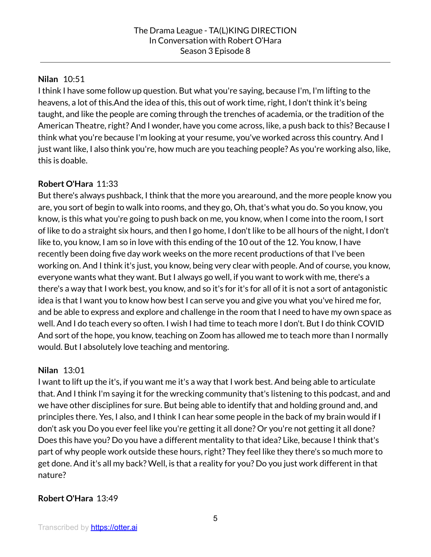### **Nilan** 10:51

I think I have some follow up question. But what you're saying, because I'm, I'm lifting to the heavens, a lot of this.And the idea of this, this out of work time, right, I don't think it's being taught, and like the people are coming through the trenches of academia, or the tradition of the American Theatre, right? And I wonder, have you come across, like, a push back to this? Because I think what you're because I'm looking at your resume, you've worked across this country. And I just want like, I also think you're, how much are you teaching people? As you're working also, like, this is doable.

# **Robert O'Hara** 11:33

But there's always pushback, I think that the more you arearound, and the more people know you are, you sort of begin to walk into rooms, and they go, Oh, that's what you do. So you know, you know, is this what you're going to push back on me, you know, when I come into the room, I sort of like to do a straight six hours, and then I go home, I don't like to be all hours of the night, I don't like to, you know, I am so in love with this ending of the 10 out of the 12. You know, I have recently been doing five day work weeks on the more recent productions of that I've been working on. And I think it's just, you know, being very clear with people. And of course, you know, everyone wants what they want. But I always go well, if you want to work with me, there's a there's a way that I work best, you know, and so it's for it's for all of it is not a sort of antagonistic idea is that I want you to know how best I can serve you and give you what you've hired me for, and be able to express and explore and challenge in the room that I need to have my own space as well. And I do teach every so often. I wish I had time to teach more I don't. But I do think COVID And sort of the hope, you know, teaching on Zoom has allowed me to teach more than I normally would. But I absolutely love teaching and mentoring.

### **Nilan** 13:01

I want to lift up the it's, if you want me it's a way that I work best. And being able to articulate that. And I think I'm saying it for the wrecking community that's listening to this podcast, and and we have other disciplines for sure. But being able to identify that and holding ground and, and principles there. Yes, I also, and I think I can hear some people in the back of my brain would if I don't ask you Do you ever feel like you're getting it all done? Or you're not getting it all done? Does this have you? Do you have a different mentality to that idea? Like, because I think that's part of why people work outside these hours, right? They feel like they there's so much more to get done. And it's all my back? Well, is that a reality for you? Do you just work different in that nature?

### **Robert O'Hara** 13:49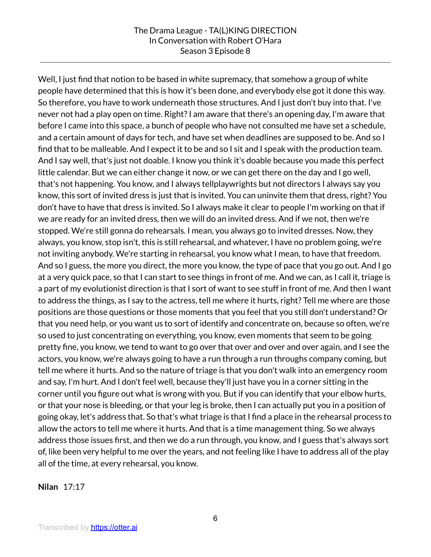#### The Drama League - TA(L)KING DIRECTION In Conversation with Robert O'Hara Season 3 Episode 8

Well, I just find that notion to be based in white supremacy, that somehow a group of white people have determined that this is how it's been done, and everybody else got it done this way. So therefore, you have to work underneath those structures. And I just don't buy into that. I've never not had a play open on time. Right?I am aware that there's an opening day, I'm aware that before I came into this space, a bunch of people who have not consulted me have set a schedule, and a certain amount of days for tech, and have set when deadlines are supposed to be. And so I find that to be malleable. And I expect it to be and so I sit and I speak with the production team. And I say well, that's just not doable. I know you think it's doable because you made this perfect little calendar. But we can either change it now, or we can get there on the day and I go well, that's not happening. You know, and I always tellplaywrights but not directors I always say you know, this sort of invited dress is just that is invited. You can uninvite them that dress, right? You don't have to have that dress is invited. So I always make it clear to people I'm working on that if we are ready for an invited dress, then we will do an invited dress. And if we not, then we're stopped. We're still gonna do rehearsals. I mean, you always go to invited dresses. Now, they always, you know, stop isn't, this is still rehearsal, and whatever, I have no problem going, we're not inviting anybody. We're starting in rehearsal, you know what I mean, to have that freedom. And so I guess, the more you direct, the more you know, the type of pace that you go out. And I go at a very quick pace, so that I can start to see things in front of me. And we can, as I call it, triage is a part of my evolutionist direction is that I sort of want to see stuff in front of me. And then I want to address the things, as I say to the actress, tell me where it hurts, right? Tell me where are those positions are those questions or those moments that you feel that you still don't understand? Or that you need help, or you want us to sort of identify and concentrate on, because so often, we're so used to just concentrating on everything, you know, even moments that seem to be going pretty fine, you know, we tend to want to go over that over and over and over again, and I see the actors, you know, we're always going to have a run through a run throughs company coming, but tell me where it hurts. And so the nature of triage is that you don't walk into an emergency room and say, I'm hurt. And I don't feel well, because they'll just have you in a corner sitting in the corner until you figure out what is wrong with you. But if you can identify that your elbow hurts, or that your nose is bleeding, or that your leg is broke, then I can actually put you in a position of going okay, let's address that. So that's what triage is that I find a place in the rehearsal process to allow the actors to tell me where it hurts. And that is a time management thing. So we always address those issues first, and then we do a run through, you know, and I guess that's always sort of, like been very helpful to me over the years, and not feeling like I have to address all of the play all of the time, at every rehearsal, you know.

**Nilan** 17:17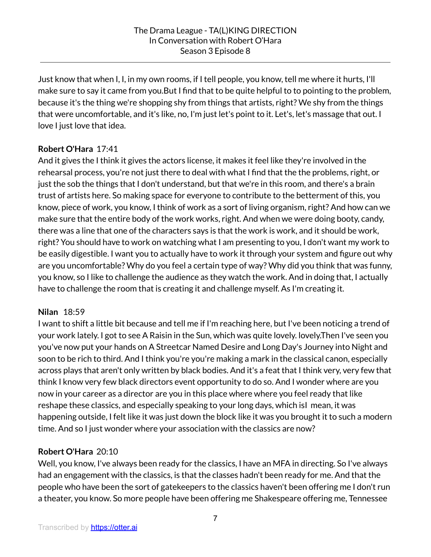Just know that when I, I, in my own rooms, if I tell people, you know, tell me where it hurts, I'll make sure to say it came from you.But I find that to be quite helpful to to pointing to the problem, because it's the thing we're shopping shy from things that artists, right? We shy from the things that were uncomfortable, and it's like, no, I'm just let's point to it. Let's, let's massage that out. I love I just love that idea.

# **Robert O'Hara** 17:41

And it gives the I think it gives the actors license, it makes it feel like they're involved in the rehearsal process, you're not just there to deal with what I find that the the problems, right, or just the sob the things that I don't understand, but that we're in this room, and there's a brain trust of artists here. So making space for everyone to contribute to the betterment of this, you know, piece of work, you know, I think of work as a sort of living organism, right? And how can we make sure that the entire body of the work works, right. And when we were doing booty, candy, there was a line that one of the characters says is that the work is work, and it should be work, right? You should have to work on watching what I am presenting to you, I don't want my work to be easily digestible. I want you to actually have to work it through your system and figure out why are you uncomfortable? Why do you feel a certain type of way? Why did you think that was funny, you know, so I like to challenge the audience as they watch the work. And in doing that, I actually have to challenge the room that is creating it and challenge myself. As I'm creating it.

### **Nilan** 18:59

I want to shift a little bit because and tell me if I'm reaching here, but I've been noticing a trend of your work lately. I got to see A Raisin in the Sun, which was quite lovely. lovely.Then I've seen you you've now put your hands on A Streetcar Named Desire and Long Day's Journey into Night and soon to be rich to third. And I think you're you're making a mark in the classical canon, especially across plays that aren't only written by black bodies. And it's a feat that I think very, very few that think I know very few black directors event opportunity to do so. And I wonder where are you now in your career as a director are you in this place where where you feel ready that like reshape these classics, and especially speaking to your long days, which isI mean, it was happening outside, I felt like it was just down the block like it was you brought it to such a modern time. And so I just wonder where your association with the classics are now?

# **Robert O'Hara** 20:10

Well, you know, I've always been ready for the classics, I have an MFA in directing. So I've always had an engagement with the classics, is that the classes hadn't been ready for me. And that the people who have been the sort of gatekeepers to the classics haven't been offering me I don't run a theater, you know. So more people have been offering me Shakespeare offering me, Tennessee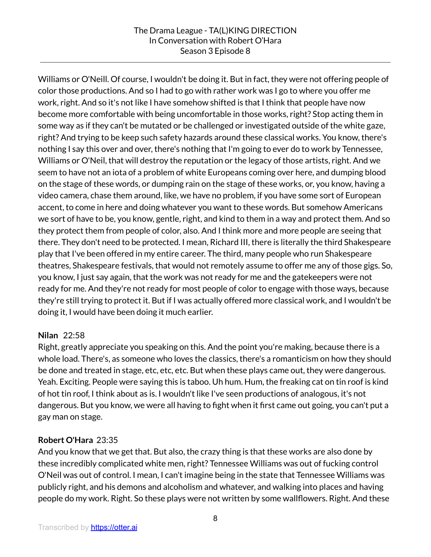#### The Drama League - TA(L)KING DIRECTION In Conversation with Robert O'Hara Season 3 Episode 8

Williams or O'Neill. Of course, I wouldn't be doing it. But in fact, they were not offering people of color those productions. And so I had to go with rather work was I go to where you offer me work, right. And so it's not like I have somehow shifted is that I think that people have now become more comfortable with being uncomfortable in those works, right? Stop acting them in some way as if they can't be mutated or be challenged or investigated outside of the white gaze, right? And trying to be keep such safety hazards around these classical works. You know, there's nothing I say this over and over, there's nothing that I'm going to ever do to work by Tennessee, Williams or O'Neil, that will destroy the reputation or the legacy of those artists, right. And we seem to have not an iota of a problem of white Europeans coming over here, and dumping blood on the stage of these words, or dumping rain on the stage of these works, or, you know, having a video camera, chase them around, like, we have no problem, if you have some sort of European accent, to come in here and doing whatever you want to these words. But somehow Americans we sort of have to be, you know, gentle, right, and kind to them in a way and protect them. And so they protect them from people of color, also. And I think more and more people are seeing that there. They don't need to be protected. I mean, Richard III, there is literally the third Shakespeare play that I've been offered in my entire career. The third, many people who run Shakespeare theatres, Shakespeare festivals, that would not remotely assume to offer me any of those gigs. So, you know, I just say again, that the work was not ready for me and the gatekeepers were not ready for me. And they're not ready for most people of color to engage with those ways, because they're still trying to protect it. But if I was actually offered more classical work, and I wouldn't be doing it, I would have been doing it much earlier.

### **Nilan** 22:58

Right, greatly appreciate you speaking on this. And the point you're making, because there is a whole load. There's, as someone who loves the classics, there's a romanticism on how they should be done and treated in stage, etc, etc, etc. But when these plays came out, they were dangerous. Yeah. Exciting. People were saying this is taboo. Uh hum. Hum, the freaking cat on tin roof is kind of hot tin roof, I think about as is. I wouldn't like I've seen productions of analogous, it's not dangerous. But you know, we were all having to fight when it first came out going, you can't put a gay man on stage.

### **Robert O'Hara** 23:35

And you know that we get that. But also, the crazy thing is that these works are also done by these incredibly complicated white men, right? Tennessee Williams was out of fucking control O'Neil was out of control. I mean, I can't imagine being in the state that Tennessee Williams was publicly right, and his demons and alcoholism and whatever, and walking into places and having people do my work. Right. So these plays were not written by some wallflowers. Right. And these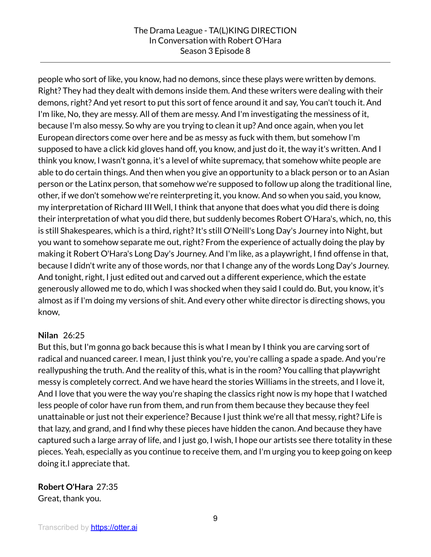people who sort of like, you know, had no demons, since these plays were written by demons. Right? They had they dealt with demons inside them. And these writers were dealing with their demons, right? And yet resort to put this sort of fence around it and say, You can't touch it. And I'm like, No, they are messy. All of them are messy. And I'm investigating the messiness of it, because I'm also messy. So why are you trying to clean it up? And once again, when you let European directors come over here and be as messy as fuck with them, but somehow I'm supposed to have a click kid gloves hand off, you know, and just do it, the way it's written. And I think you know, I wasn't gonna, it's a level of white supremacy, that somehow white people are able to do certain things. And then when you give an opportunity to a black person or to an Asian person or the Latinx person, that somehow we're supposed to follow up along the traditional line, other, if we don't somehow we're reinterpreting it, you know. And so when you said, you know, my interpretation of Richard III Well, I think that anyone that does what you did there is doing their interpretation of what you did there, but suddenly becomes Robert O'Hara's, which, no, this is still Shakespeares, which is a third, right? It's still O'Neill's Long Day's Journey into Night, but you want to somehow separate me out, right? From the experience of actually doing the play by making it Robert O'Hara's Long Day's Journey. And I'm like, as a playwright, I find offense in that, because I didn't write any of those words, nor that I change any of the words Long Day's Journey. And tonight, right, I just edited out and carved out a different experience, which the estate generously allowed me to do, which I was shocked when they said I could do. But, you know, it's almost as if I'm doing my versions of shit. And every other white director is directing shows, you know,

### **Nilan** 26:25

But this, but I'm gonna go back because this is what I mean by I think you are carving sort of radical and nuanced career. I mean, I just think you're, you're calling a spade a spade. And you're reallypushing the truth. And the reality of this, what is in the room? You calling that playwright messy is completely correct. And we have heard the stories Williams in the streets, and I love it, And I love that you were the way you're shaping the classics right now is my hope that I watched less people of color have run from them, and run from them because they because they feel unattainable or just not their experience? Because I just think we're all that messy, right? Life is that lazy, and grand, and I find why these pieces have hidden the canon. And because they have captured such a large array of life, and I just go, I wish, I hope our artists see there totality in these pieces. Yeah, especially as you continue to receive them, and I'm urging you to keep going on keep doing it.I appreciate that.

**Robert O'Hara** 27:35 Great, thank you.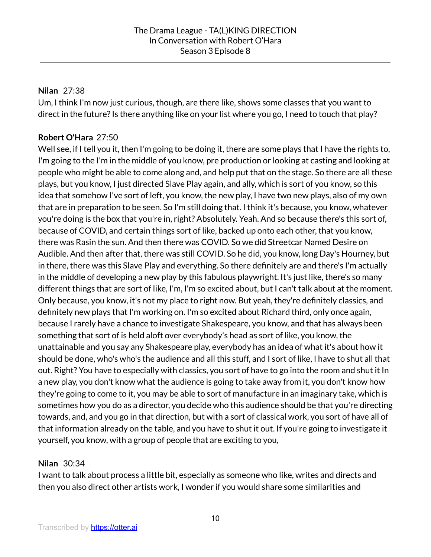### **Nilan** 27:38

Um, I think I'm now just curious, though, are there like, shows some classes that you want to direct in the future? Is there anything like on your list where you go, I need to touch that play?

## **Robert O'Hara** 27:50

Well see, if I tell you it, then I'm going to be doing it, there are some plays that I have the rights to, I'm going to the I'm in the middle of you know, pre production or looking at casting and looking at people who might be able to come along and, and help put that on the stage. So there are all these plays, but you know, I just directed Slave Play again, and ally, which is sort of you know, so this idea that somehow I've sort of left, you know, the new play, I have two new plays, also of my own that are in preparation to be seen. So I'm still doing that. I think it's because, you know, whatever you're doing is the box that you're in, right? Absolutely. Yeah. And so because there's this sort of, because of COVID, and certain things sort of like, backed up onto each other, that you know, there was Rasin the sun. And then there was COVID. So we did Streetcar Named Desire on Audible. And then after that, there was still COVID. So he did, you know, long Day's Hourney, but in there, there was this Slave Play and everything. So there definitely are and there's I'm actually in the middle of developing a new play by this fabulous playwright. It's just like, there's so many different things that are sort of like, I'm, I'm so excited about, but I can't talk about at the moment. Only because, you know, it's not my place to right now. But yeah, they're definitely classics, and definitely new plays that I'm working on. I'm so excited about Richard third, only once again, because I rarely have a chance to investigate Shakespeare, you know, and that has always been something that sort of is held aloft over everybody's head as sort of like, you know, the unattainable and you say any Shakespeare play, everybody has an idea of what it's about how it should be done, who's who's the audience and all this stuff, and I sort of like, I have to shut all that out. Right? You have to especially with classics, you sort of have to go into the room and shut it In a new play, you don't know what the audience is going to take away from it, you don't know how they're going to come to it, you may be able to sort of manufacture in an imaginary take, which is sometimes how you do as a director, you decide who this audience should be that you're directing towards, and, and you go in that direction, but with a sort of classical work, you sort of have all of that information already on the table, and you have to shut it out. If you're going to investigate it yourself, you know, with a group of people that are exciting to you,

### **Nilan** 30:34

I want to talk about process a little bit, especially as someone who like, writes and directs and then you also direct other artists work, I wonder if you would share some similarities and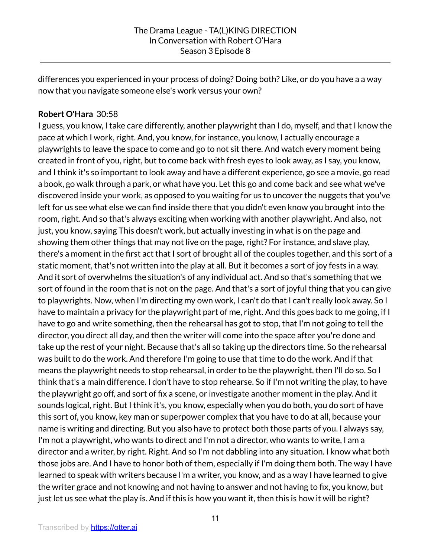differences you experienced in your process of doing? Doing both? Like, or do you have a a way now that you navigate someone else's work versus your own?

### **Robert O'Hara** 30:58

I guess, you know, I take care differently, another playwright than I do, myself, and that I know the pace at which I work, right. And, you know, for instance, you know, I actually encourage a playwrights to leave the space to come and go to not sit there. And watch every moment being created in front of you, right, but to come back with fresh eyes to look away, as I say, you know, and I think it's so important to look away and have a different experience, go see a movie, go read a book, go walk through a park, or what have you. Let this go and come back and see what we've discovered inside your work, as opposed to you waiting for us to uncover the nuggets that you've left for us see what else we can find inside there that you didn't even know you brought into the room, right. And so that's always exciting when working with another playwright. And also, not just, you know, saying This doesn't work, but actually investing in what is on the page and showing them other things that may not live on the page, right? For instance, and slave play, there's a moment in the first act that I sort of brought all of the couples together, and this sort of a static moment, that's not written into the play at all. But it becomes a sort of joy fests in a way. And it sort of overwhelms the situation's of any individual act. And so that's something that we sort of found in the room that is not on the page. And that's a sort of joyful thing that you can give to playwrights. Now, when I'm directing my own work, I can't do that I can't really look away. So I have to maintain a privacy for the playwright part of me, right. And this goes back to me going, if I have to go and write something, then the rehearsal has got to stop, that I'm not going to tell the director, you direct all day, and then the writer will come into the space after you're done and take up the rest of your night. Because that's all so taking up the directors time. So the rehearsal was built to do the work. And therefore I'm going to use that time to do the work. And if that means the playwright needs to stop rehearsal, in order to be the playwright, then I'll do so. So I think that's a main difference. I don't have to stop rehearse. So if I'm not writing the play, to have the playwright go off, and sort of fix a scene, or investigate another moment in the play. And it sounds logical, right. But I think it's, you know, especially when you do both, you do sort of have this sort of, you know, key man or superpower complex that you have to do at all, because your name is writing and directing. But you also have to protect both those parts of you. I always say, I'm not a playwright, who wants to direct and I'm not a director, who wants to write, I am a director and a writer, by right. Right. And so I'm not dabbling into any situation. I know what both those jobs are. And I have to honor both of them, especially if I'm doing them both. The way I have learned to speak with writers because I'm a writer, you know, and as a way I have learned to give the writer grace and not knowing and not having to answer and not having to fix, you know, but just let us see what the play is. And if this is how you want it, then this is how it will be right?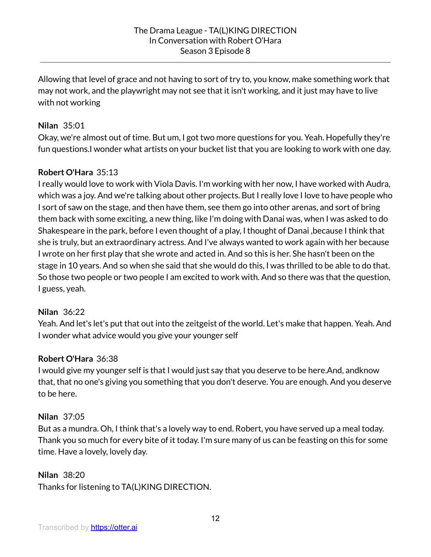Allowing that level of grace and not having to sort of try to, you know, make something work that may not work, and the playwright may not see that it isn't working, and it just may have to live with not working

#### **Nilan** 35:01

Okay, we're almost out of time. But um, I got two more questions for you. Yeah. Hopefully they're fun questions.I wonder what artists on your bucket list that you are looking to work with one day.

### **Robert O'Hara** 35:13

I really would love to work with Viola Davis. I'm working with her now, I have worked with Audra, which was a joy. And we're talking about other projects. But I really love I love to have people who I sort of saw on the stage, and then have them, see them go into other arenas, and sort of bring them back with some exciting, a new thing, like I'm doing with Danai was, when I was asked to do Shakespeare in the park, before I even thought of a play, I thought of Danai ,because I think that she is truly, but an extraordinary actress. And I've always wanted to work again with her because I wrote on her first play that she wrote and acted in. And so this is her. She hasn't been on the stage in 10 years. And so when she said that she would do this, I was thrilled to be able to do that. So those two people or two people I am excited to work with. And so there was that the question, I guess, yeah.

#### **Nilan** 36:22

Yeah. And let's let's put that out into the zeitgeist of the world. Let's make that happen. Yeah. And I wonder what advice would you give your younger self

### **Robert O'Hara** 36:38

I would give my younger self is that I would just say that you deserve to be here.And, andknow that, that no one's giving you something that you don't deserve. You are enough. And you deserve to be here.

#### **Nilan** 37:05

But as a mundra. Oh, I think that's a lovely way to end. Robert, you have served up a meal today. Thank you so much for every bite of it today. I'm sure many of us can be feasting on this for some time. Have a lovely, lovely day.

### **Nilan** 38:20

Thanks for listening to TA(L)KING DIRECTION.